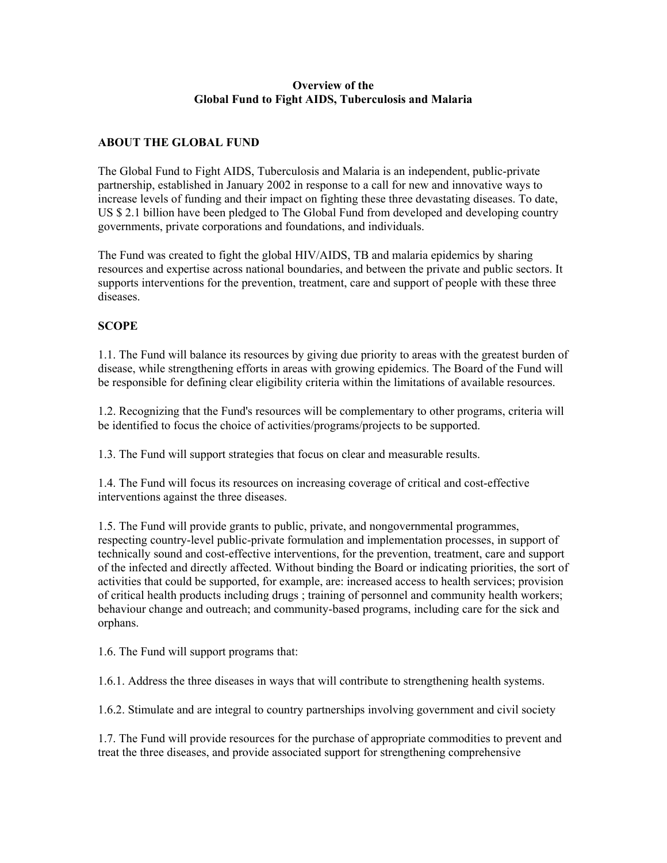#### **Overview of the Global Fund to Fight AIDS, Tuberculosis and Malaria**

#### **ABOUT THE GLOBAL FUND**

The Global Fund to Fight AIDS, Tuberculosis and Malaria is an independent, public-private partnership, established in January 2002 in response to a call for new and innovative ways to increase levels of funding and their impact on fighting these three devastating diseases. To date, US \$ 2.1 billion have been pledged to The Global Fund from developed and developing country governments, private corporations and foundations, and individuals.

The Fund was created to fight the global HIV/AIDS, TB and malaria epidemics by sharing resources and expertise across national boundaries, and between the private and public sectors. It supports interventions for the prevention, treatment, care and support of people with these three diseases.

# **SCOPE**

1.1. The Fund will balance its resources by giving due priority to areas with the greatest burden of disease, while strengthening efforts in areas with growing epidemics. The Board of the Fund will be responsible for defining clear eligibility criteria within the limitations of available resources.

1.2. Recognizing that the Fund's resources will be complementary to other programs, criteria will be identified to focus the choice of activities/programs/projects to be supported.

1.3. The Fund will support strategies that focus on clear and measurable results.

1.4. The Fund will focus its resources on increasing coverage of critical and cost-effective interventions against the three diseases.

1.5. The Fund will provide grants to public, private, and nongovernmental programmes, respecting country-level public-private formulation and implementation processes, in support of technically sound and cost-effective interventions, for the prevention, treatment, care and support of the infected and directly affected. Without binding the Board or indicating priorities, the sort of activities that could be supported, for example, are: increased access to health services; provision of critical health products including drugs ; training of personnel and community health workers; behaviour change and outreach; and community-based programs, including care for the sick and orphans.

1.6. The Fund will support programs that:

1.6.1. Address the three diseases in ways that will contribute to strengthening health systems.

1.6.2. Stimulate and are integral to country partnerships involving government and civil society

1.7. The Fund will provide resources for the purchase of appropriate commodities to prevent and treat the three diseases, and provide associated support for strengthening comprehensive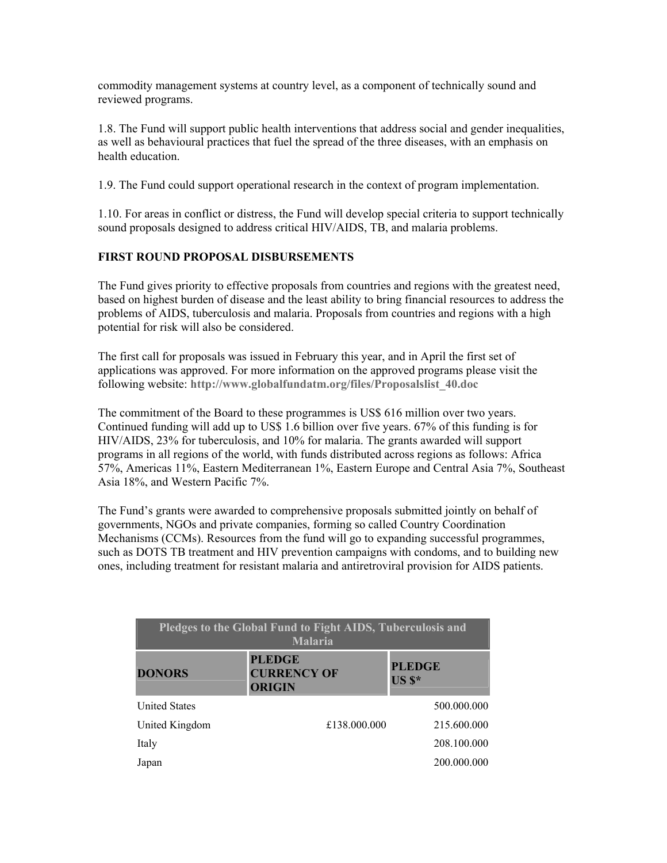commodity management systems at country level, as a component of technically sound and reviewed programs.

1.8. The Fund will support public health interventions that address social and gender inequalities, as well as behavioural practices that fuel the spread of the three diseases, with an emphasis on health education.

1.9. The Fund could support operational research in the context of program implementation.

1.10. For areas in conflict or distress, the Fund will develop special criteria to support technically sound proposals designed to address critical HIV/AIDS, TB, and malaria problems.

# **FIRST ROUND PROPOSAL DISBURSEMENTS**

The Fund gives priority to effective proposals from countries and regions with the greatest need, based on highest burden of disease and the least ability to bring financial resources to address the problems of AIDS, tuberculosis and malaria. Proposals from countries and regions with a high potential for risk will also be considered.

The first call for proposals was issued in February this year, and in April the first set of applications was approved. For more information on the approved programs please visit the following website: **http://www.globalfundatm.org/files/Proposalslist\_40.doc**

The commitment of the Board to these programmes is US\$ 616 million over two years. Continued funding will add up to US\$ 1.6 billion over five years. 67% of this funding is for HIV/AIDS, 23% for tuberculosis, and 10% for malaria. The grants awarded will support programs in all regions of the world, with funds distributed across regions as follows: Africa 57%, Americas 11%, Eastern Mediterranean 1%, Eastern Europe and Central Asia 7%, Southeast Asia 18%, and Western Pacific 7%.

The Fund's grants were awarded to comprehensive proposals submitted jointly on behalf of governments, NGOs and private companies, forming so called Country Coordination Mechanisms (CCMs). Resources from the fund will go to expanding successful programmes, such as DOTS TB treatment and HIV prevention campaigns with condoms, and to building new ones, including treatment for resistant malaria and antiretroviral provision for AIDS patients.

| Pledges to the Global Fund to Fight AIDS, Tuberculosis and<br><b>Malaria</b> |                                                      |                           |  |  |
|------------------------------------------------------------------------------|------------------------------------------------------|---------------------------|--|--|
| <b>DONORS</b>                                                                | <b>PLEDGE</b><br><b>CURRENCY OF</b><br><b>ORIGIN</b> | <b>PLEDGE</b><br>$US S^*$ |  |  |
| <b>United States</b>                                                         |                                                      | 500,000,000               |  |  |
| United Kingdom                                                               | £138,000,000                                         | 215.600.000               |  |  |
| Italy                                                                        |                                                      | 208.100.000               |  |  |
| Japan                                                                        |                                                      | 200.000.000               |  |  |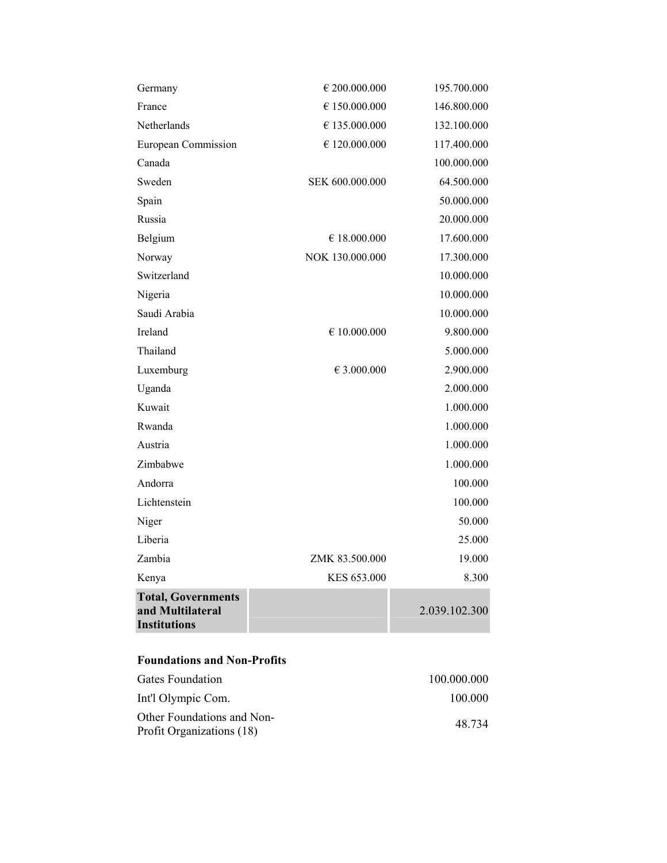| <b>Total, Governments</b><br>and Multilateral<br><b>Institutions</b> |                       | 2.039.102.300 |
|----------------------------------------------------------------------|-----------------------|---------------|
| Kenya                                                                | KES 653.000           | 8.300         |
| Zambia                                                               | ZMK 83.500.000        | 19.000        |
| Liberia                                                              |                       | 25.000        |
| Niger                                                                |                       | 50.000        |
| Lichtenstein                                                         |                       | 100.000       |
| Andorra                                                              |                       | 100.000       |
| Zimbabwe                                                             |                       | 1.000.000     |
| Austria                                                              |                       | 1.000.000     |
| Rwanda                                                               |                       | 1.000.000     |
| Kuwait                                                               |                       | 1.000.000     |
| Uganda                                                               |                       | 2.000.000     |
| Luxemburg                                                            | € 3.000.000           | 2.900.000     |
| Thailand                                                             |                       | 5.000.000     |
| Ireland                                                              | $\epsilon$ 10.000.000 | 9.800.000     |
| Saudi Arabia                                                         |                       | 10.000.000    |
| Nigeria                                                              |                       | 10.000.000    |
| Switzerland                                                          |                       | 10.000.000    |
| Norway                                                               | NOK 130.000.000       | 17.300.000    |
| Belgium                                                              | € 18.000.000          | 17.600.000    |
| Russia                                                               |                       | 20.000.000    |
| Spain                                                                |                       | 50.000.000    |
| Sweden                                                               | SEK 600.000.000       | 64.500.000    |
| Canada                                                               |                       | 100.000.000   |
| <b>European Commission</b>                                           | $\in$ 120.000.000     | 117.400.000   |
| Netherlands                                                          | € 135.000.000         | 132.100.000   |
| France                                                               | € 150.000.000         | 146.800.000   |
| Germany                                                              | € 200.000.000         | 195.700.000   |

# **Foundations and Non-Profits**

| Gates Foundation                                        | 100.000.000 |
|---------------------------------------------------------|-------------|
| Int'l Olympic Com.                                      | 100 000     |
| Other Foundations and Non-<br>Profit Organizations (18) | 48 734      |